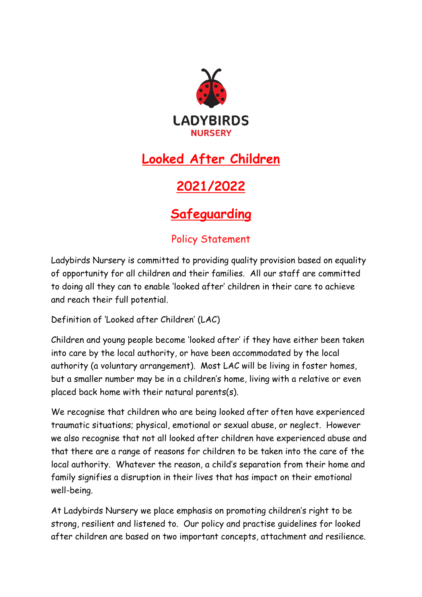

# **Looked After Children**

# **2021/2022**

## **Safeguarding**

## Policy Statement

Ladybirds Nursery is committed to providing quality provision based on equality of opportunity for all children and their families. All our staff are committed to doing all they can to enable 'looked after' children in their care to achieve and reach their full potential.

Definition of 'Looked after Children' (LAC)

Children and young people become 'looked after' if they have either been taken into care by the local authority, or have been accommodated by the local authority (a voluntary arrangement). Most LAC will be living in foster homes, but a smaller number may be in a children's home, living with a relative or even placed back home with their natural parents(s).

We recognise that children who are being looked after often have experienced traumatic situations; physical, emotional or sexual abuse, or neglect. However we also recognise that not all looked after children have experienced abuse and that there are a range of reasons for children to be taken into the care of the local authority. Whatever the reason, a child's separation from their home and family signifies a disruption in their lives that has impact on their emotional well-being.

At Ladybirds Nursery we place emphasis on promoting children's right to be strong, resilient and listened to. Our policy and practise guidelines for looked after children are based on two important concepts, attachment and resilience.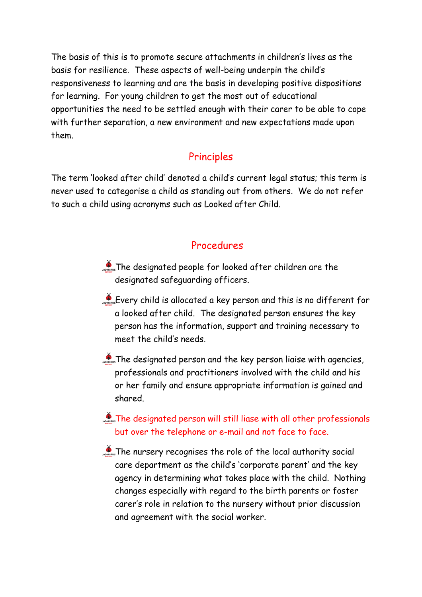The basis of this is to promote secure attachments in children's lives as the basis for resilience. These aspects of well-being underpin the child's responsiveness to learning and are the basis in developing positive dispositions for learning. For young children to get the most out of educational opportunities the need to be settled enough with their carer to be able to cope with further separation, a new environment and new expectations made upon them.

### Principles

The term 'looked after child' denoted a child's current legal status; this term is never used to categorise a child as standing out from others. We do not refer to such a child using acronyms such as Looked after Child.

### Procedures

- The designated people for looked after children are the designated safeguarding officers.
- Every child is allocated a key person and this is no different for a looked after child. The designated person ensures the key person has the information, support and training necessary to meet the child's needs.
- **AD** Indian The designated person and the key person liaise with agencies, professionals and practitioners involved with the child and his or her family and ensure appropriate information is gained and shared.

#### **The designated person will still liase with all other professionals** but over the telephone or e-mail and not face to face.

**The nursery recognises the role of the local authority social** care department as the child's 'corporate parent' and the key agency in determining what takes place with the child. Nothing changes especially with regard to the birth parents or foster carer's role in relation to the nursery without prior discussion and agreement with the social worker.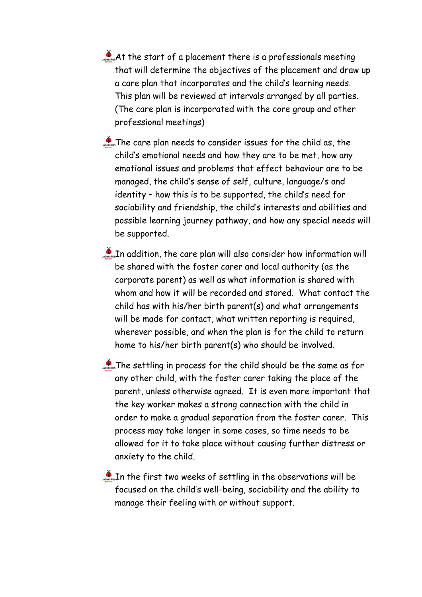- At the start of a placement there is a professionals meeting that will determine the objectives of the placement and draw up a care plan that incorporates and the child's learning needs. This plan will be reviewed at intervals arranged by all parties. (The care plan is incorporated with the core group and other professional meetings)
- The care plan needs to consider issues for the child as, the child's emotional needs and how they are to be met, how any emotional issues and problems that effect behaviour are to be managed, the child's sense of self, culture, language/s and identity – how this is to be supported, the child's need for sociability and friendship, the child's interests and abilities and possible learning journey pathway, and how any special needs will be supported.
- In addition, the care plan will also consider how information will be shared with the foster carer and local authority (as the corporate parent) as well as what information is shared with whom and how it will be recorded and stored. What contact the child has with his/her birth parent(s) and what arrangements will be made for contact, what written reporting is required, wherever possible, and when the plan is for the child to return home to his/her birth parent(s) who should be involved.
- **The settling in process for the child should be the same as for** any other child, with the foster carer taking the place of the parent, unless otherwise agreed. It is even more important that the key worker makes a strong connection with the child in order to make a gradual separation from the foster carer. This process may take longer in some cases, so time needs to be allowed for it to take place without causing further distress or anxiety to the child.

 $\mathcal{L}_{\text{obs}}$  In the first two weeks of settling in the observations will be focused on the child's well-being, sociability and the ability to manage their feeling with or without support.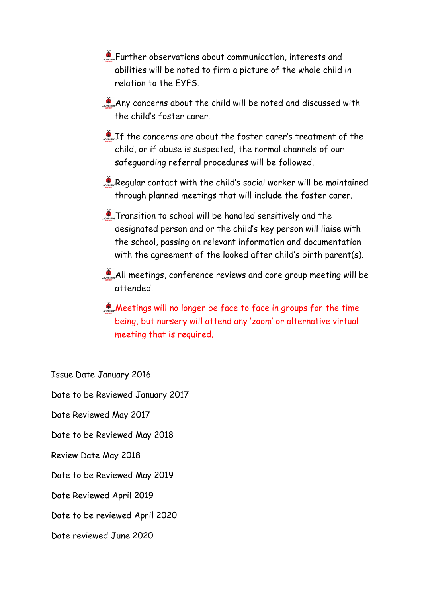- **AD**<sub>cavenes</sub> Further observations about communication, interests and abilities will be noted to firm a picture of the whole child in relation to the EYFS.
- Any concerns about the child will be noted and discussed with the child's foster carer.
- $\sum_{n=1}^{\infty}$  If the concerns are about the foster carer's treatment of the child, or if abuse is suspected, the normal channels of our safeguarding referral procedures will be followed.
- Regular contact with the child's social worker will be maintained through planned meetings that will include the foster carer.
- Transition to school will be handled sensitively and the designated person and or the child's key person will liaise with the school, passing on relevant information and documentation with the agreement of the looked after child's birth parent(s).
- All meetings, conference reviews and core group meeting will be attended.
- Meetings will no longer be face to face in groups for the time being, but nursery will attend any 'zoom' or alternative virtual meeting that is required.

Issue Date January 2016

Date to be Reviewed January 2017

Date Reviewed May 2017

Date to be Reviewed May 2018

Review Date May 2018

Date to be Reviewed May 2019

Date Reviewed April 2019

Date to be reviewed April 2020

Date reviewed June 2020